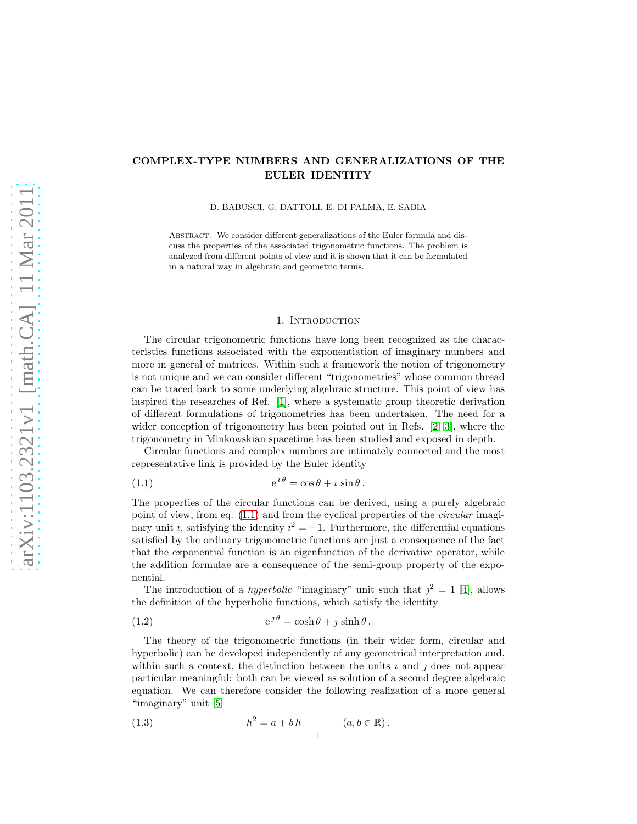# COMPLEX-TYPE NUMBERS AND GENERALIZATIONS OF THE EULER IDENTITY

D. BABUSCI, G. DATTOLI, E. DI PALMA, E. SABIA

ABSTRACT. We consider different generalizations of the Euler formula and discuss the properties of the associated trigonometric functions. The problem is analyzed from different points of view and it is shown that it can be formulated in a natural way in algebraic and geometric terms.

#### 1. INTRODUCTION

<span id="page-0-3"></span>The circular trigonometric functions have long been recognized as the characteristics functions associated with the exponentiation of imaginary numbers and more in general of matrices. Within such a framework the notion of trigonometry is not unique and we can consider different "trigonometries" whose common thread can be traced back to some underlying algebraic structure. This point of view has inspired the researches of Ref. [\[1\]](#page-8-0), where a systematic group theoretic derivation of different formulations of trigonometries has been undertaken. The need for a wider conception of trigonometry has been pointed out in Refs. [\[2,](#page-8-1) [3\]](#page-8-2), where the trigonometry in Minkowskian spacetime has been studied and exposed in depth.

Circular functions and complex numbers are intimately connected and the most representative link is provided by the Euler identity

<span id="page-0-0"></span>(1.1) 
$$
e^{i\theta} = \cos\theta + i\sin\theta.
$$

The properties of the circular functions can be derived, using a purely algebraic point of view, from eq.  $(1.1)$  and from the cyclical properties of the *circular* imaginary unit *i*, satisfying the identity  $i^2 = -1$ . Furthermore, the differential equations satisfied by the ordinary trigonometric functions are just a consequence of the fact that the exponential function is an eigenfunction of the derivative operator, while the addition formulae are a consequence of the semi-group property of the exponential.

The introduction of a *hyperbolic* "imaginary" unit such that  $j^2 = 1$  [\[4\]](#page-8-3), allows the definition of the hyperbolic functions, which satisfy the identity

(1.2) 
$$
e^{j\theta} = \cosh\theta + j\sinh\theta.
$$

The theory of the trigonometric functions (in their wider form, circular and hyperbolic) can be developed independently of any geometrical interpretation and, within such a context, the distinction between the units  $\imath$  and  $\jmath$  does not appear particular meaningful: both can be viewed as solution of a second degree algebraic equation. We can therefore consider the following realization of a more general "imaginary" unit [\[5\]](#page-8-4)

<span id="page-0-2"></span><span id="page-0-1"></span>1

(1.3) 
$$
h^2 = a + bh \qquad (a, b \in \mathbb{R}).
$$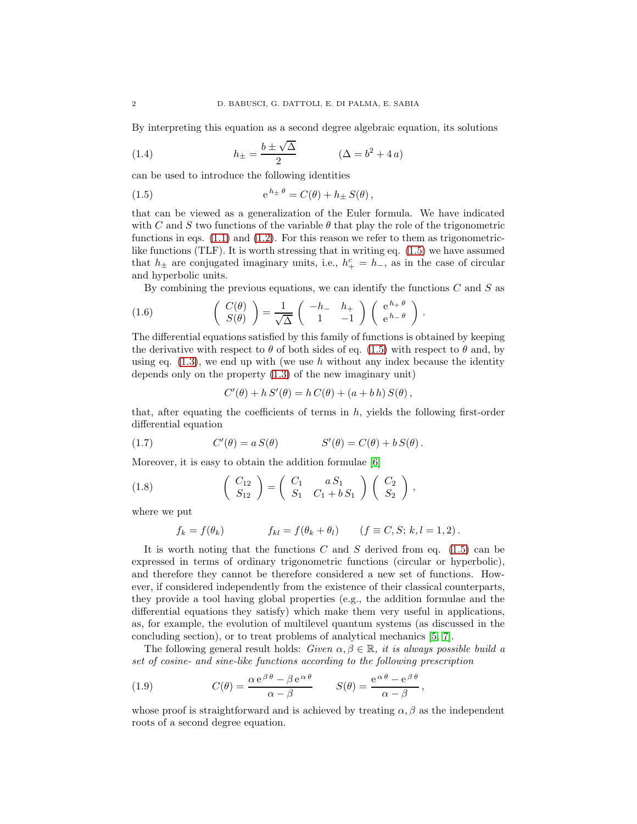By interpreting this equation as a second degree algebraic equation, its solutions

(1.4) 
$$
h_{\pm} = \frac{b \pm \sqrt{\Delta}}{2} \qquad (\Delta = b^2 + 4a)
$$

can be used to introduce the following identities

<span id="page-1-0"></span>(1.5) 
$$
e^{h_{\pm}\theta} = C(\theta) + h_{\pm} S(\theta),
$$

that can be viewed as a generalization of the Euler formula. We have indicated with C and S two functions of the variable  $\theta$  that play the role of the trigonometric functions in eqs.  $(1.1)$  and  $(1.2)$ . For this reason we refer to them as trigonometriclike functions (TLF). It is worth stressing that in writing eq. [\(1.5\)](#page-1-0) we have assumed that  $h_{\pm}$  are conjugated imaginary units, i.e.,  $h_{+}^{c} = h_{-}$ , as in the case of circular and hyperbolic units.

By combining the previous equations, we can identify the functions  $C$  and  $S$  as

(1.6) 
$$
\begin{pmatrix} C(\theta) \\ S(\theta) \end{pmatrix} = \frac{1}{\sqrt{\Delta}} \begin{pmatrix} -h_- & h_+ \\ 1 & -1 \end{pmatrix} \begin{pmatrix} e^{h_+ \theta} \\ e^{h_- \theta} \end{pmatrix}.
$$

The differential equations satisfied by this family of functions is obtained by keeping the derivative with respect to  $\theta$  of both sides of eq. [\(1.5\)](#page-1-0) with respect to  $\theta$  and, by using eq.  $(1.3)$ , we end up with (we use h without any index because the identity depends only on the property [\(1.3\)](#page-0-2) of the new imaginary unit)

<span id="page-1-1"></span>
$$
C'(\theta) + h S'(\theta) = h C(\theta) + (a + bh) S(\theta),
$$

that, after equating the coefficients of terms in  $h$ , yields the following first-order differential equation

(1.7) 
$$
C'(\theta) = a S(\theta) \qquad S'(\theta) = C(\theta) + b S(\theta).
$$

Moreover, it is easy to obtain the addition formulae [\[6\]](#page-8-5)

(1.8) 
$$
\begin{pmatrix} C_{12} \\ S_{12} \end{pmatrix} = \begin{pmatrix} C_1 & a S_1 \\ S_1 & C_1 + b S_1 \end{pmatrix} \begin{pmatrix} C_2 \\ S_2 \end{pmatrix},
$$

where we put

<span id="page-1-2"></span>
$$
f_k = f(\theta_k) \qquad f_{kl} = f(\theta_k + \theta_l) \qquad (f \equiv C, S; k, l = 1, 2).
$$

It is worth noting that the functions  $C$  and  $S$  derived from eq. [\(1.5\)](#page-1-0) can be expressed in terms of ordinary trigonometric functions (circular or hyperbolic), and therefore they cannot be therefore considered a new set of functions. However, if considered independently from the existence of their classical counterparts, they provide a tool having global properties (e.g., the addition formulae and the differential equations they satisfy) which make them very useful in applications, as, for example, the evolution of multilevel quantum systems (as discussed in the concluding section), or to treat problems of analytical mechanics [\[5,](#page-8-4) [7\]](#page-8-6).

The following general result holds: Given  $\alpha, \beta \in \mathbb{R}$ , it is always possible build a set of cosine- and sine-like functions according to the following prescription

<span id="page-1-3"></span>(1.9) 
$$
C(\theta) = \frac{\alpha e^{\beta \theta} - \beta e^{\alpha \theta}}{\alpha - \beta} \qquad S(\theta) = \frac{e^{\alpha \theta} - e^{\beta \theta}}{\alpha - \beta},
$$

whose proof is straightforward and is achieved by treating  $\alpha$ ,  $\beta$  as the independent roots of a second degree equation.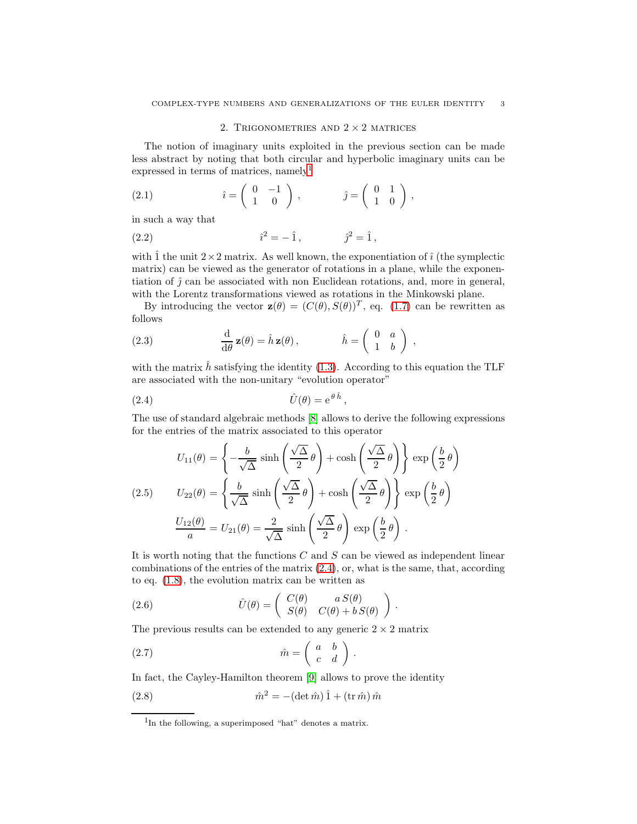## 2. TRIGONOMETRIES AND  $2 \times 2$  MATRICES

The notion of imaginary units exploited in the previous section can be made less abstract by noting that both circular and hyperbolic imaginary units can be expressed in terms of matrices, namely<sup>[1](#page-2-0)</sup>

(2.1) 
$$
\hat{i} = \begin{pmatrix} 0 & -1 \\ 1 & 0 \end{pmatrix}, \qquad \hat{j} = \begin{pmatrix} 0 & 1 \\ 1 & 0 \end{pmatrix},
$$

in such a way that

(2.2) 
$$
\hat{i}^2 = -\hat{1}, \qquad \hat{j}^2 = \hat{1},
$$

with  $\hat{1}$  the unit  $2\times 2$  matrix. As well known, the exponentiation of  $\hat{i}$  (the symplectic matrix) can be viewed as the generator of rotations in a plane, while the exponentiation of  $\hat{\jmath}$  can be associated with non Euclidean rotations, and, more in general, with the Lorentz transformations viewed as rotations in the Minkowski plane.

By introducing the vector  $\mathbf{z}(\theta) = (C(\theta), S(\theta))^T$ , eq. [\(1.7\)](#page-1-1) can be rewritten as follows

<span id="page-2-2"></span>(2.3) 
$$
\frac{\mathrm{d}}{\mathrm{d}\theta} \mathbf{z}(\theta) = \hat{h} \mathbf{z}(\theta), \qquad \hat{h} = \begin{pmatrix} 0 & a \\ 1 & b \end{pmatrix},
$$

with the matrix  $\hat{h}$  satisfying the identity [\(1.3\)](#page-0-2). According to this equation the TLF are associated with the non-unitary "evolution operator"

$$
(2.4) \t\t\t\t\t\hat{U}(\theta) = e^{\theta \hat{h}}
$$

The use of standard algebraic methods [\[8\]](#page-8-7) allows to derive the following expressions for the entries of the matrix associated to this operator

<span id="page-2-1"></span>,

(2.5) 
$$
U_{11}(\theta) = \left\{ -\frac{b}{\sqrt{\Delta}} \sinh\left(\frac{\sqrt{\Delta}}{2}\theta\right) + \cosh\left(\frac{\sqrt{\Delta}}{2}\theta\right) \right\} \exp\left(\frac{b}{2}\theta\right)
$$

$$
U_{22}(\theta) = \left\{ \frac{b}{\sqrt{\Delta}} \sinh\left(\frac{\sqrt{\Delta}}{2}\theta\right) + \cosh\left(\frac{\sqrt{\Delta}}{2}\theta\right) \right\} \exp\left(\frac{b}{2}\theta\right)
$$

$$
\frac{U_{12}(\theta)}{a} = U_{21}(\theta) = \frac{2}{\sqrt{\Delta}} \sinh\left(\frac{\sqrt{\Delta}}{2}\theta\right) \exp\left(\frac{b}{2}\theta\right).
$$

It is worth noting that the functions  $C$  and  $S$  can be viewed as independent linear combinations of the entries of the matrix  $(2.4)$ , or, what is the same, that, according to eq. [\(1.8\)](#page-1-2), the evolution matrix can be written as

(2.6) 
$$
\hat{U}(\theta) = \begin{pmatrix} C(\theta) & a S(\theta) \\ S(\theta) & C(\theta) + b S(\theta) \end{pmatrix}.
$$

The previous results can be extended to any generic  $2 \times 2$  matrix

(2.7) ˆm = a b c d .

In fact, the Cayley-Hamilton theorem [\[9\]](#page-8-8) allows to prove the identity

(2.8) 
$$
\hat{m}^2 = -(\det \hat{m})\hat{1} + (\operatorname{tr} \hat{m})\hat{m}
$$

<span id="page-2-0"></span><sup>&</sup>lt;sup>1</sup>In the following, a superimposed "hat" denotes a matrix.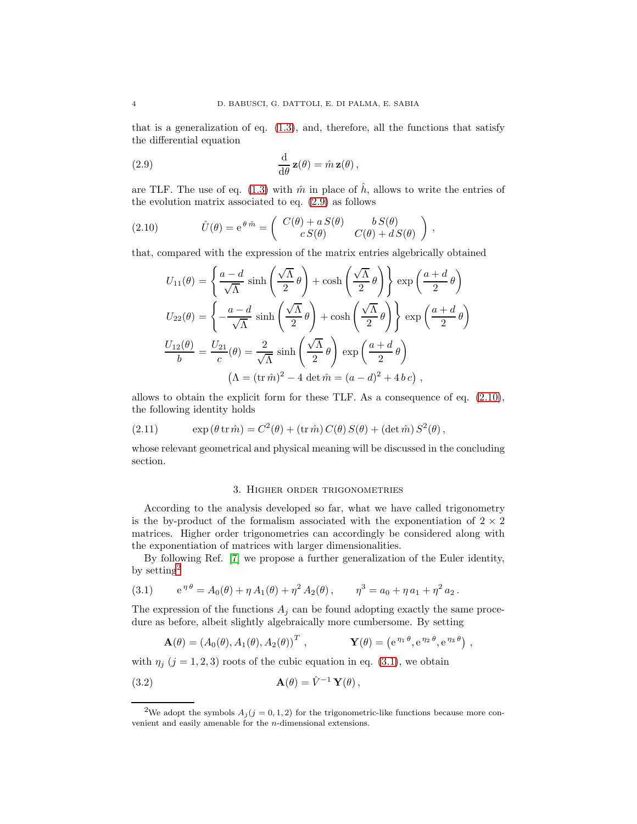that is a generalization of eq.  $(1.3)$ , and, therefore, all the functions that satisfy the differential equation

<span id="page-3-0"></span>(2.9) 
$$
\frac{\mathrm{d}}{\mathrm{d}\theta} \mathbf{z}(\theta) = \hat{m} \mathbf{z}(\theta),
$$

are TLF. The use of eq. [\(1.3\)](#page-0-2) with  $\hat{m}$  in place of  $\hat{h}$ , allows to write the entries of the evolution matrix associated to eq. [\(2.9\)](#page-3-0) as follows

(2.10) 
$$
\hat{U}(\theta) = e^{\theta \hat{m}} = \begin{pmatrix} C(\theta) + a S(\theta) & b S(\theta) \\ c S(\theta) & C(\theta) + d S(\theta) \end{pmatrix},
$$

that, compared with the expression of the matrix entries algebrically obtained

<span id="page-3-1"></span>
$$
U_{11}(\theta) = \left\{ \frac{a-d}{\sqrt{\Lambda}} \sinh\left(\frac{\sqrt{\Lambda}}{2} \theta\right) + \cosh\left(\frac{\sqrt{\Lambda}}{2} \theta\right) \right\} \exp\left(\frac{a+d}{2} \theta\right)
$$
  

$$
U_{22}(\theta) = \left\{ -\frac{a-d}{\sqrt{\Lambda}} \sinh\left(\frac{\sqrt{\Lambda}}{2} \theta\right) + \cosh\left(\frac{\sqrt{\Lambda}}{2} \theta\right) \right\} \exp\left(\frac{a+d}{2} \theta\right)
$$
  

$$
\frac{U_{12}(\theta)}{b} = \frac{U_{21}}{c}(\theta) = \frac{2}{\sqrt{\Lambda}} \sinh\left(\frac{\sqrt{\Lambda}}{2} \theta\right) \exp\left(\frac{a+d}{2} \theta\right)
$$
  

$$
(\Lambda = (\text{tr}\,\hat{m})^2 - 4 \det \hat{m} = (a-d)^2 + 4 \,bc),
$$

allows to obtain the explicit form for these TLF. As a consequence of eq. [\(2.10\)](#page-3-1), the following identity holds

<span id="page-3-5"></span>(2.11) 
$$
\exp(\theta \operatorname{tr} \hat{m}) = C^2(\theta) + (\operatorname{tr} \hat{m}) C(\theta) S(\theta) + (\det \hat{m}) S^2(\theta),
$$

whose relevant geometrical and physical meaning will be discussed in the concluding section.

#### 3. Higher order trigonometries

According to the analysis developed so far, what we have called trigonometry is the by-product of the formalism associated with the exponentiation of  $2 \times 2$ matrices. Higher order trigonometries can accordingly be considered along with the exponentiation of matrices with larger dimensionalities.

By following Ref. [\[7\]](#page-8-6) we propose a further generalization of the Euler identity, by setting[2](#page-3-2)

<span id="page-3-3"></span>(3.1) 
$$
e^{\eta \theta} = A_0(\theta) + \eta A_1(\theta) + \eta^2 A_2(\theta), \qquad \eta^3 = a_0 + \eta a_1 + \eta^2 a_2.
$$

The expression of the functions  $A_j$  can be found adopting exactly the same procedure as before, albeit slightly algebraically more cumbersome. By setting

<span id="page-3-4"></span>
$$
\mathbf{A}(\theta) = (A_0(\theta), A_1(\theta), A_2(\theta))^T, \qquad \mathbf{Y}(\theta) = (e^{\eta_1 \theta}, e^{\eta_2 \theta}, e^{\eta_3 \theta}),
$$

with  $\eta_i$  (j = 1, 2, 3) roots of the cubic equation in eq. [\(3.1\)](#page-3-3), we obtain

(3.2) 
$$
\mathbf{A}(\theta) = \hat{V}^{-1} \mathbf{Y}(\theta),
$$

<span id="page-3-2"></span><sup>&</sup>lt;sup>2</sup>We adopt the symbols  $A_j$  ( $j = 0, 1, 2$ ) for the trigonometric-like functions because more convenient and easily amenable for the n-dimensional extensions.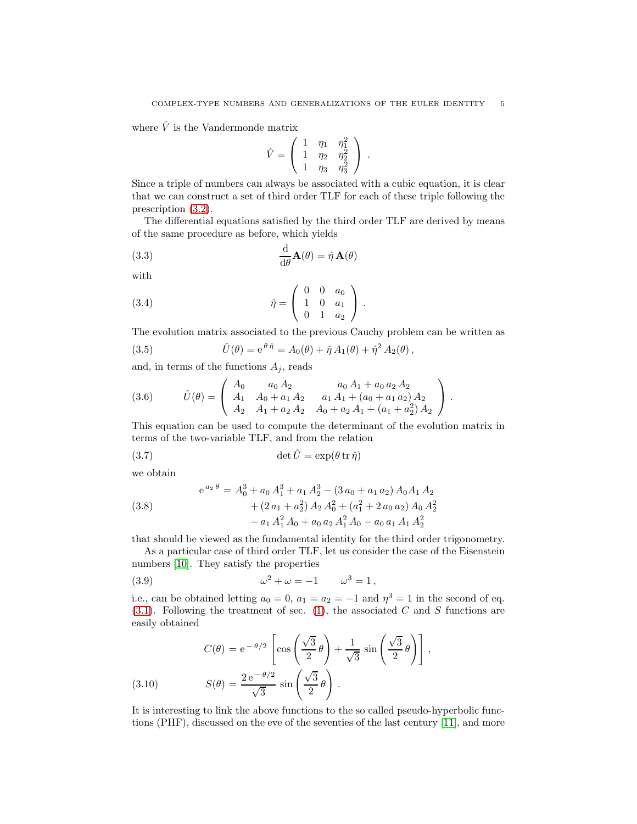where  $\hat{V}$  is the Vandermonde matrix

$$
\hat{V} = \left( \begin{array}{ccc} 1 & \eta_1 & \eta_1^2 \\ 1 & \eta_2 & \eta_2^2 \\ 1 & \eta_3 & \eta_3^2 \end{array} \right) .
$$

Since a triple of numbers can always be associated with a cubic equation, it is clear that we can construct a set of third order TLF for each of these triple following the prescription [\(3.2\)](#page-3-4).

The differential equations satisfied by the third order TLF are derived by means of the same procedure as before, which yields

(3.3) 
$$
\frac{\mathrm{d}}{\mathrm{d}\theta}\mathbf{A}(\theta) = \hat{\eta}\,\mathbf{A}(\theta)
$$

with

<span id="page-4-1"></span>(3.4) 
$$
\hat{\eta} = \begin{pmatrix} 0 & 0 & a_0 \\ 1 & 0 & a_1 \\ 0 & 1 & a_2 \end{pmatrix}.
$$

The evolution matrix associated to the previous Cauchy problem can be written as

<span id="page-4-2"></span>(3.5) 
$$
\hat{U}(\theta) = e^{\theta \hat{\eta}} = A_0(\theta) + \hat{\eta} A_1(\theta) + \hat{\eta}^2 A_2(\theta),
$$

and, in terms of the functions  $A_i$ , reads

(3.6) 
$$
\hat{U}(\theta) = \begin{pmatrix} A_0 & a_0 A_2 & a_0 A_1 + a_0 a_2 A_2 \\ A_1 & A_0 + a_1 A_2 & a_1 A_1 + (a_0 + a_1 a_2) A_2 \\ A_2 & A_1 + a_2 A_2 & A_0 + a_2 A_1 + (a_1 + a_2^2) A_2 \end{pmatrix}.
$$

This equation can be used to compute the determinant of the evolution matrix in terms of the two-variable TLF, and from the relation

(3.7) 
$$
\det \hat{U} = \exp(\theta \operatorname{tr} \hat{\eta})
$$

we obtain

<span id="page-4-3"></span>(3.8)  
\n
$$
e^{a_2 \theta} = A_0^3 + a_0 A_1^3 + a_1 A_2^3 - (3 a_0 + a_1 a_2) A_0 A_1 A_2
$$
\n
$$
+ (2 a_1 + a_2^2) A_2 A_0^2 + (a_1^2 + 2 a_0 a_2) A_0 A_2^2
$$
\n
$$
- a_1 A_1^2 A_0 + a_0 a_2 A_1^2 A_0 - a_0 a_1 A_1 A_2^2
$$

that should be viewed as the fundamental identity for the third order trigonometry.

As a particular case of third order TLF, let us consider the case of the Eisenstein numbers [\[10\]](#page-8-9). They satisfy the properties

<span id="page-4-0"></span>(3.9) 
$$
\omega^2 + \omega = -1 \qquad \omega^3 = 1,
$$

i.e., can be obtained letting  $a_0 = 0$ ,  $a_1 = a_2 = -1$  and  $\eta^3 = 1$  in the second of eq.  $(3.1)$ . Following the treatment of sec.  $(1)$ , the associated C and S functions are easily obtained

(3.10) 
$$
C(\theta) = e^{-\theta/2} \left[ \cos \left( \frac{\sqrt{3}}{2} \theta \right) + \frac{1}{\sqrt{3}} \sin \left( \frac{\sqrt{3}}{2} \theta \right) \right],
$$

$$
S(\theta) = \frac{2 e^{-\theta/2}}{\sqrt{3}} \sin \left( \frac{\sqrt{3}}{2} \theta \right).
$$

It is interesting to link the above functions to the so called pseudo-hyperbolic functions (PHF), discussed on the eve of the seventies of the last century [\[11\]](#page-8-10), and more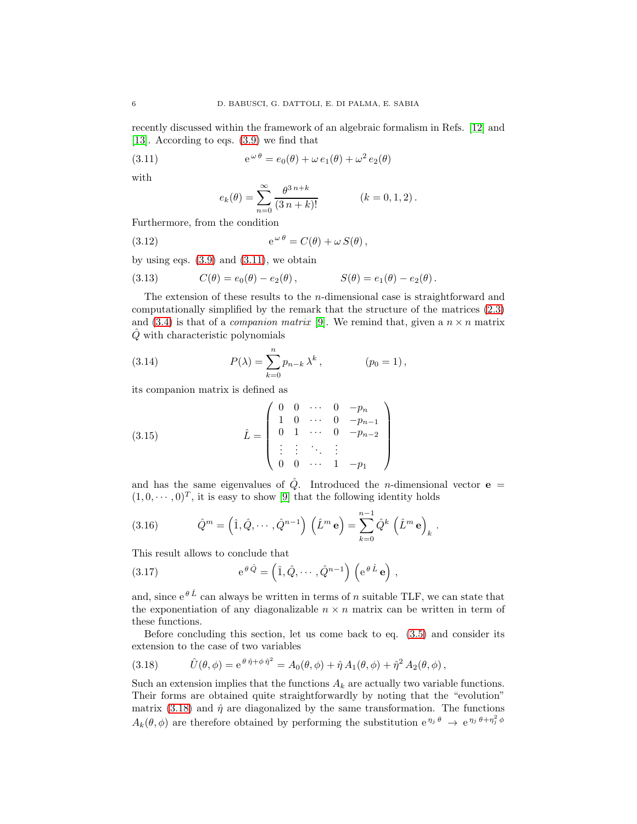recently discussed within the framework of an algebraic formalism in Refs. [\[12\]](#page-8-11) and [\[13\]](#page-8-12). According to eqs. [\(3.9\)](#page-4-0) we find that

(3.11) 
$$
e^{\omega \theta} = e_0(\theta) + \omega e_1(\theta) + \omega^2 e_2(\theta)
$$

with

<span id="page-5-0"></span>
$$
e_k(\theta) = \sum_{n=0}^{\infty} \frac{\theta^{3\,n+k}}{(3\,n+k)!} \qquad (k = 0, 1, 2).
$$

Furthermore, from the condition

(3.12) 
$$
e^{\omega \theta} = C(\theta) + \omega S(\theta),
$$

by using eqs.  $(3.9)$  and  $(3.11)$ , we obtain

(3.13) 
$$
C(\theta) = e_0(\theta) - e_2(\theta), \qquad S(\theta) = e_1(\theta) - e_2(\theta).
$$

The extension of these results to the  $n$ -dimensional case is straightforward and computationally simplified by the remark that the structure of the matrices [\(2.3\)](#page-2-2) and [\(3.4\)](#page-4-1) is that of a *companion matrix* [\[9\]](#page-8-8). We remind that, given a  $n \times n$  matrix  $\hat{Q}$  with characteristic polynomials

(3.14) 
$$
P(\lambda) = \sum_{k=0}^{n} p_{n-k} \lambda^{k}, \qquad (p_0 = 1),
$$

its companion matrix is defined as

(3.15) 
$$
\hat{L} = \begin{pmatrix} 0 & 0 & \cdots & 0 & -p_n \\ 1 & 0 & \cdots & 0 & -p_{n-1} \\ 0 & 1 & \cdots & 0 & -p_{n-2} \\ \vdots & \vdots & \ddots & \vdots & \\ 0 & 0 & \cdots & 1 & -p_1 \end{pmatrix}
$$

and has the same eigenvalues of  $\hat{Q}$ . Introduced the *n*-dimensional vector **e** =  $(1, 0, \dots, 0)^T$ , it is easy to show [\[9\]](#page-8-8) that the following identity holds

(3.16) 
$$
\hat{Q}^m = (\hat{1}, \hat{Q}, \cdots, \hat{Q}^{n-1}) (\hat{L}^m \mathbf{e}) = \sum_{k=0}^{n-1} \hat{Q}^k (\hat{L}^m \mathbf{e})_k.
$$

This result allows to conclude that

(3.17) 
$$
e^{\theta \hat{Q}} = (\hat{1}, \hat{Q}, \cdots, \hat{Q}^{n-1}) \left( e^{\theta \hat{L}} e \right),
$$

and, since  $e^{\theta \hat{L}}$  can always be written in terms of *n* suitable TLF, we can state that the exponentiation of any diagonalizable  $n \times n$  matrix can be written in term of these functions.

Before concluding this section, let us come back to eq. [\(3.5\)](#page-4-2) and consider its extension to the case of two variables

<span id="page-5-1"></span>(3.18) 
$$
\hat{U}(\theta,\phi) = e^{\theta \hat{\eta} + \phi \hat{\eta}^2} = A_0(\theta,\phi) + \hat{\eta} A_1(\theta,\phi) + \hat{\eta}^2 A_2(\theta,\phi),
$$

Such an extension implies that the functions  $A_k$  are actually two variable functions. Their forms are obtained quite straightforwardly by noting that the "evolution" matrix [\(3.18\)](#page-5-1) and  $\hat{\eta}$  are diagonalized by the same transformation. The functions  $A_k(\theta, \phi)$  are therefore obtained by performing the substitution  $e^{\eta_j \theta} \to e^{\eta_j \theta + \eta_j^2 \phi}$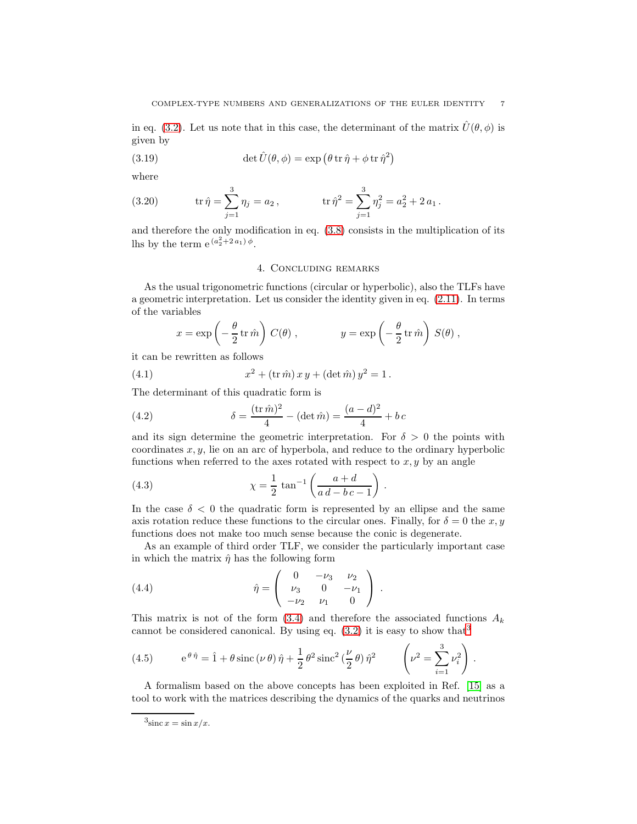in eq. [\(3.2\)](#page-3-4). Let us note that in this case, the determinant of the matrix  $\hat{U}(\theta, \phi)$  is given by

(3.19) 
$$
\det \hat{U}(\theta, \phi) = \exp \left( \theta \operatorname{tr} \hat{\eta} + \phi \operatorname{tr} \hat{\eta}^2 \right)
$$

where

(3.20) 
$$
\operatorname{tr} \hat{\eta} = \sum_{j=1}^{3} \eta_j = a_2, \qquad \qquad \operatorname{tr} \hat{\eta}^2 = \sum_{j=1}^{3} \eta_j^2 = a_2^2 + 2 a_1.
$$

and therefore the only modification in eq. [\(3.8\)](#page-4-3) consists in the multiplication of its lhs by the term  $e^{(a_2^2+2a_1)\phi}$ .

## 4. Concluding remarks

As the usual trigonometric functions (circular or hyperbolic), also the TLFs have a geometric interpretation. Let us consider the identity given in eq. [\(2.11\)](#page-3-5). In terms of the variables

$$
x = \exp\left(-\frac{\theta}{2}\operatorname{tr}\hat{m}\right) C(\theta)
$$
,  $y = \exp\left(-\frac{\theta}{2}\operatorname{tr}\hat{m}\right) S(\theta)$ ,

it can be rewritten as follows

(4.1) 
$$
x^2 + (\operatorname{tr} \hat{m}) x y + (\det \hat{m}) y^2 = 1.
$$

The determinant of this quadratic form is

(4.2) 
$$
\delta = \frac{(\text{tr}\,\hat{m})^2}{4} - (\det \hat{m}) = \frac{(a-d)^2}{4} + bc
$$

and its sign determine the geometric interpretation. For  $\delta > 0$  the points with coordinates  $x, y$ , lie on an arc of hyperbola, and reduce to the ordinary hyperbolic functions when referred to the axes rotated with respect to  $x, y$  by an angle

(4.3) 
$$
\chi = \frac{1}{2} \tan^{-1} \left( \frac{a+d}{a d - b c - 1} \right).
$$

In the case  $\delta$  < 0 the quadratic form is represented by an ellipse and the same axis rotation reduce these functions to the circular ones. Finally, for  $\delta = 0$  the x, y functions does not make too much sense because the conic is degenerate.

As an example of third order TLF, we consider the particularly important case in which the matrix  $\hat{\eta}$  has the following form

<span id="page-6-1"></span>(4.4) 
$$
\hat{\eta} = \begin{pmatrix} 0 & -\nu_3 & \nu_2 \\ \nu_3 & 0 & -\nu_1 \\ -\nu_2 & \nu_1 & 0 \end{pmatrix}.
$$

This matrix is not of the form  $(3.4)$  and therefore the associated functions  $A_k$ cannot be considered canonical. By using eq.  $(3.2)$  $(3.2)$  $(3.2)$  it is easy to show that<sup>3</sup>

(4.5) 
$$
e^{\theta \hat{\eta}} = \hat{1} + \theta \operatorname{sinc} (\nu \theta) \hat{\eta} + \frac{1}{2} \theta^2 \operatorname{sinc}^2 (\frac{\nu}{2} \theta) \hat{\eta}^2 \qquad \left(\nu^2 = \sum_{i=1}^3 \nu_i^2\right).
$$

A formalism based on the above concepts has been exploited in Ref. [\[15\]](#page-8-13) as a tool to work with the matrices describing the dynamics of the quarks and neutrinos

<span id="page-6-0"></span> $3\sin c x = \sin x/x.$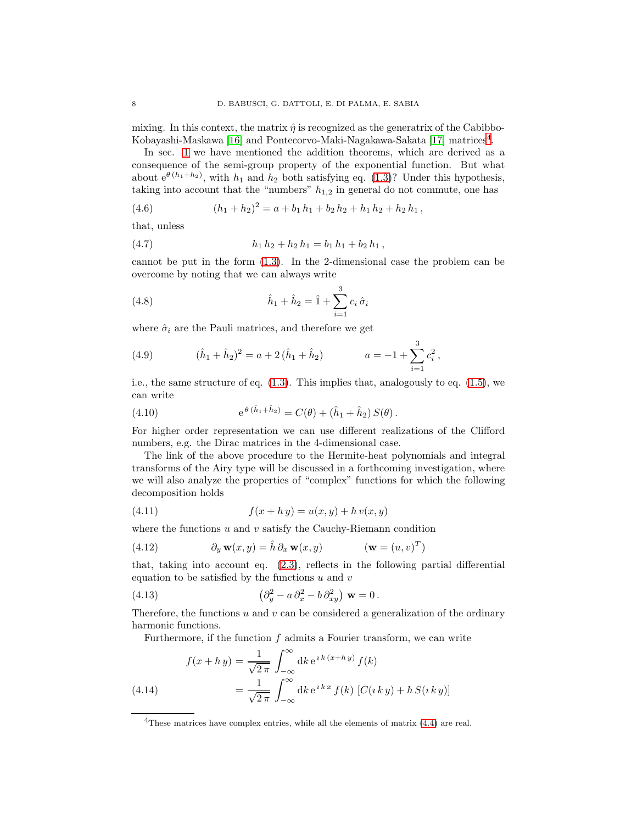mixing. In this context, the matrix  $\hat{\eta}$  is recognized as the generatrix of the Cabibbo-Kobayashi-Maskawa [\[16\]](#page-9-0) and Pontecorvo-Maki-Nagakawa-Sakata [\[17\]](#page-9-1) matrices<sup>[4](#page-7-0)</sup>.

In sec. [1](#page-0-3) we have mentioned the addition theorems, which are derived as a consequence of the semi-group property of the exponential function. But what about  $e^{\theta (h_1 + h_2)}$ , with  $h_1$  and  $h_2$  both satisfying eq. [\(1.3\)](#page-0-2)? Under this hypothesis, taking into account that the "numbers"  $h_{1,2}$  in general do not commute, one has

(4.6) 
$$
(h_1 + h_2)^2 = a + b_1 h_1 + b_2 h_2 + h_1 h_2 + h_2 h_1,
$$

that, unless

$$
(4.7) \t\t\t\t\t h_1 h_2 + h_2 h_1 = b_1 h_1 + b_2 h_1,
$$

cannot be put in the form [\(1.3\)](#page-0-2). In the 2-dimensional case the problem can be overcome by noting that we can always write

(4.8) 
$$
\hat{h}_1 + \hat{h}_2 = \hat{1} + \sum_{i=1}^{3} c_i \hat{\sigma}_i
$$

where  $\hat{\sigma}_i$  are the Pauli matrices, and therefore we get

(4.9) 
$$
(\hat{h}_1 + \hat{h}_2)^2 = a + 2(\hat{h}_1 + \hat{h}_2) \qquad a = -1 + \sum_{i=1}^3 c_i^2,
$$

i.e., the same structure of eq. [\(1.3\)](#page-0-2). This implies that, analogously to eq. [\(1.5\)](#page-1-0), we can write

(4.10) 
$$
e^{\theta (\hat{h}_1 + \hat{h}_2)} = C(\theta) + (\hat{h}_1 + \hat{h}_2) S(\theta).
$$

For higher order representation we can use different realizations of the Clifford numbers, e.g. the Dirac matrices in the 4-dimensional case.

The link of the above procedure to the Hermite-heat polynomials and integral transforms of the Airy type will be discussed in a forthcoming investigation, where we will also analyze the properties of "complex" functions for which the following decomposition holds

<span id="page-7-1"></span>(4.11) 
$$
f(x + h y) = u(x, y) + h v(x, y)
$$

where the functions  $u$  and  $v$  satisfy the Cauchy-Riemann condition

(4.12) 
$$
\partial_y \mathbf{w}(x, y) = \hat{h} \partial_x \mathbf{w}(x, y) \qquad (\mathbf{w} = (u, v)^T)
$$

that, taking into account eq. [\(2.3\)](#page-2-2), reflects in the following partial differential equation to be satisfied by the functions  $u$  and  $v$ 

(4.13) 
$$
\left(\partial_y^2 - a\,\partial_x^2 - b\,\partial_{xy}^2\right)\,\mathbf{w} = 0\,.
$$

Therefore, the functions  $u$  and  $v$  can be considered a generalization of the ordinary harmonic functions.

Furthermore, if the function  $f$  admits a Fourier transform, we can write

(4.14) 
$$
f(x + h y) = \frac{1}{\sqrt{2\pi}} \int_{-\infty}^{\infty} dk e^{i k (x + h y)} f(k)
$$

$$
= \frac{1}{\sqrt{2\pi}} \int_{-\infty}^{\infty} dk e^{i k x} f(k) [C(i k y) + h S(i k y)]
$$

<span id="page-7-0"></span> $4$ These matrices have complex entries, while all the elements of matrix  $(4.4)$  are real.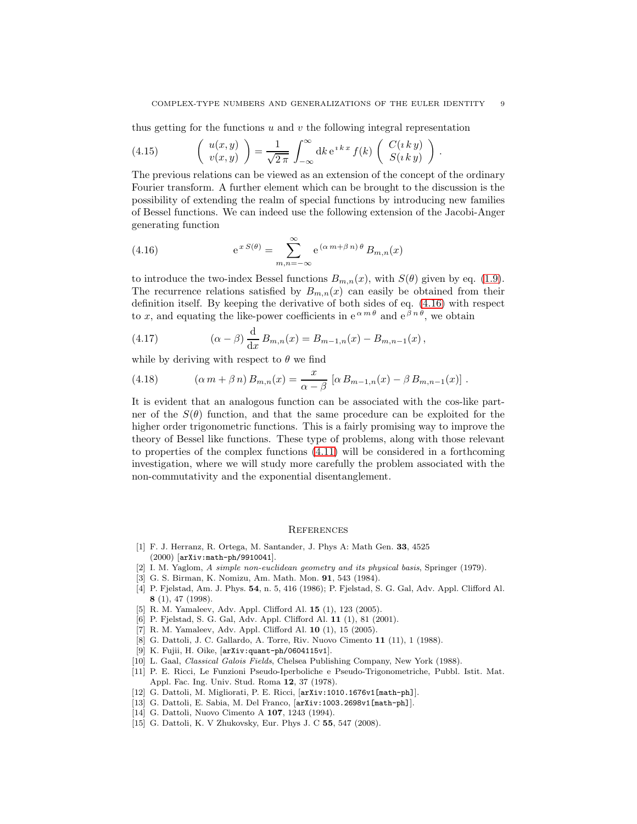.

thus getting for the functions  $u$  and  $v$  the following integral representation

(4.15) 
$$
\begin{pmatrix} u(x,y) \\ v(x,y) \end{pmatrix} = \frac{1}{\sqrt{2\pi}} \int_{-\infty}^{\infty} dk e^{ikx} f(k) \begin{pmatrix} C(iky) \\ S(iky) \end{pmatrix}
$$

The previous relations can be viewed as an extension of the concept of the ordinary Fourier transform. A further element which can be brought to the discussion is the possibility of extending the realm of special functions by introducing new families of Bessel functions. We can indeed use the following extension of the Jacobi-Anger generating function

<span id="page-8-14"></span>(4.16) 
$$
e^{x S(\theta)} = \sum_{m,n=-\infty}^{\infty} e^{(\alpha m + \beta n)\theta} B_{m,n}(x)
$$

to introduce the two-index Bessel functions  $B_{m,n}(x)$ , with  $S(\theta)$  given by eq. [\(1.9\)](#page-1-3). The recurrence relations satisfied by  $B_{m,n}(x)$  can easily be obtained from their definition itself. By keeping the derivative of both sides of eq. [\(4.16\)](#page-8-14) with respect to x, and equating the like-power coefficients in  $e^{\alpha m \theta}$  and  $e^{\beta n \theta}$ , we obtain

(4.17) 
$$
(\alpha - \beta) \frac{d}{dx} B_{m,n}(x) = B_{m-1,n}(x) - B_{m,n-1}(x),
$$

while by deriving with respect to  $\theta$  we find

(4.18) 
$$
(\alpha m + \beta n) B_{m,n}(x) = \frac{x}{\alpha - \beta} [\alpha B_{m-1,n}(x) - \beta B_{m,n-1}(x)].
$$

It is evident that an analogous function can be associated with the cos-like partner of the  $S(\theta)$  function, and that the same procedure can be exploited for the higher order trigonometric functions. This is a fairly promising way to improve the theory of Bessel like functions. These type of problems, along with those relevant to properties of the complex functions [\(4.11\)](#page-7-1) will be considered in a forthcoming investigation, where we will study more carefully the problem associated with the non-commutativity and the exponential disentanglement.

### **REFERENCES**

- <span id="page-8-0"></span>[1] F. J. Herranz, R. Ortega, M. Santander, J. Phys A: Math Gen. 33, 4525 (2000) [arXiv:math-ph/9910041].
- <span id="page-8-2"></span><span id="page-8-1"></span>[2] I. M. Yaglom, A simple non-euclidean geometry and its physical basis, Springer (1979).
- <span id="page-8-3"></span>[3] G. S. Birman, K. Nomizu, Am. Math. Mon. 91, 543 (1984).
- [4] P. Fjelstad, Am. J. Phys. 54, n. 5, 416 (1986); P. Fjelstad, S. G. Gal, Adv. Appl. Clifford Al. 8 (1), 47 (1998).
- <span id="page-8-5"></span><span id="page-8-4"></span>[5] R. M. Yamaleev, Adv. Appl. Clifford Al. 15 (1), 123 (2005).
- <span id="page-8-6"></span>[6] P. Fjelstad, S. G. Gal, Adv. Appl. Clifford Al. 11 (1), 81 (2001).
- <span id="page-8-7"></span>[7] R. M. Yamaleev, Adv. Appl. Clifford Al. 10 (1), 15 (2005).
- <span id="page-8-8"></span>[8] G. Dattoli, J. C. Gallardo, A. Torre, Riv. Nuovo Cimento 11 (11), 1 (1988).
- <span id="page-8-9"></span>[9] K. Fujii, H. Oike, [arXiv:quant-ph/0604115v1].
- <span id="page-8-10"></span>[10] L. Gaal, Classical Galois Fields, Chelsea Publishing Company, New York (1988).
- [11] P. E. Ricci, Le Funzioni Pseudo-Iperboliche e Pseudo-Trigonometriche, Pubbl. Istit. Mat. Appl. Fac. Ing. Univ. Stud. Roma 12, 37 (1978).
- <span id="page-8-12"></span><span id="page-8-11"></span>[12] G. Dattoli, M. Migliorati, P. E. Ricci, [arXiv:1010.1676v1[math-ph]].
- [13] G. Dattoli, E. Sabia, M. Del Franco, [arXiv:1003.2698v1[math-ph]].
- <span id="page-8-13"></span>[14] G. Dattoli, Nuovo Cimento A 107, 1243 (1994).
- [15] G. Dattoli, K. V Zhukovsky, Eur. Phys J. C 55, 547 (2008).